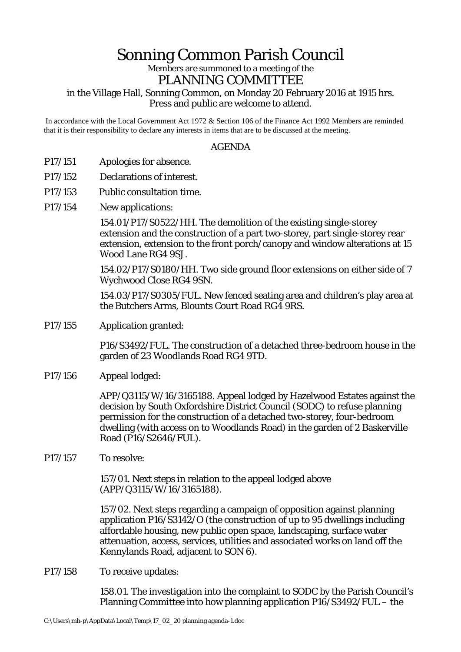# Sonning Common Parish Council

## Members are summoned to a meeting of the PLANNING COMMITTEE

## in the Village Hall, Sonning Common, on Monday 20 February 2016 at 1915 hrs. Press and public are welcome to attend.

In accordance with the Local Government Act 1972 & Section 106 of the Finance Act 1992 Members are reminded that it is their responsibility to declare any interests in items that are to be discussed at the meeting.

### AGENDA

- P17/151 Apologies for absence.
- P17/152 Declarations of interest.
- P17/153 Public consultation time.
- P17/154 New applications:

154.01/P17/S0522/HH. The demolition of the existing single-storey extension and the construction of a part two-storey, part single-storey rear extension, extension to the front porch/canopy and window alterations at 15 Wood Lane RG4 9SJ.

154.02/P17/S0180/HH. Two side ground floor extensions on either side of 7 Wychwood Close RG4 9SN.

154.03/P17/S0305/FUL. New fenced seating area and children's play area at the Butchers Arms, Blounts Court Road RG4 9RS.

P17/155 Application granted:

P16/S3492/FUL. The construction of a detached three-bedroom house in the garden of 23 Woodlands Road RG4 9TD.

P17/156 Appeal lodged:

APP/Q3115/W/16/3165188. Appeal lodged by Hazelwood Estates against the decision by South Oxfordshire District Council (SODC) to refuse planning permission for the construction of a detached two-storey, four-bedroom dwelling (with access on to Woodlands Road) in the garden of 2 Baskerville Road (P16/S2646/FUL).

#### P17/157 To resolve:

157/01. Next steps in relation to the appeal lodged above (APP/Q3115/W/16/3165188).

157/02. Next steps regarding a campaign of opposition against planning application P16/S3142/O (the construction of up to 95 dwellings including affordable housing, new public open space, landscaping, surface water attenuation, access, services, utilities and associated works on land off the Kennylands Road, adjacent to SON 6).

P17/158 To receive updates:

158.01. The investigation into the complaint to SODC by the Parish Council's Planning Committee into how planning application P16/S3492/FUL – the